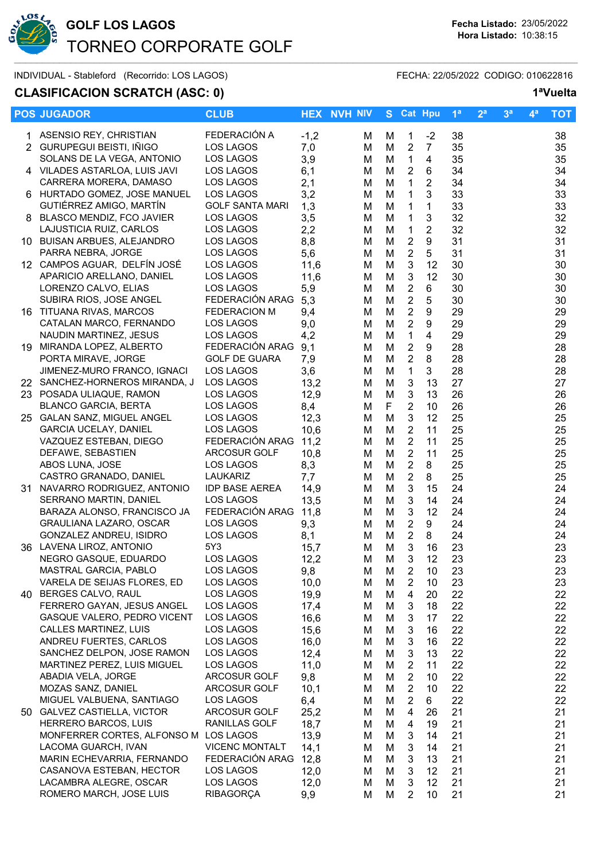

# **GOLF LOS LAGOS Fecha Listado:** 23/05/2022 TORNEO CORPORATE GOLF  $\sim$  . The sequence of the sequence of the sequence of the sequence of the sequence of the sequence of the sequence of the sequence of the sequence of the sequence of the sequence of the sequence of the sequence of the se

INDIVIDUAL - Stableford (Recorrido: LOS LAGOS) FECHA: 22/05/2022 CODIGO: 010622816

## **CLASIFICACION SCRATCH (ASC: 0) 1ªVuelta**

|  | <b>POS JUGADOR</b>                                     | <b>CLUB</b>                         |              | <b>HEX NVH NIV</b> |        | S Cat Hpu                          |                         | 1 <sup>a</sup> | 2 <sup>a</sup> | 3 <sup>a</sup> | 4 <sup>a</sup> | <b>TOT</b> |
|--|--------------------------------------------------------|-------------------------------------|--------------|--------------------|--------|------------------------------------|-------------------------|----------------|----------------|----------------|----------------|------------|
|  | 1 ASENSIO REY, CHRISTIAN                               | FEDERACIÓN A                        | $-1,2$       | м                  | м      | $\mathbf{1}$                       | $-2$                    | 38             |                |                |                | 38         |
|  | 2 GURUPEGUI BEISTI, IÑIGO                              | LOS LAGOS                           | 7,0          | M                  | M      | $\overline{2}$                     | $\overline{7}$          | 35             |                |                |                | 35         |
|  | SOLANS DE LA VEGA, ANTONIO                             | LOS LAGOS                           | 3,9          | м                  | M      | $\mathbf{1}$                       | 4                       | 35             |                |                |                | 35         |
|  | 4 VILADES ASTARLOA, LUIS JAVI                          | LOS LAGOS                           | 6,1          | м                  | M      | $\overline{2}$                     | 6                       | 34             |                |                |                | 34         |
|  | CARRERA MORERA, DAMASO<br>6 HURTADO GOMEZ, JOSE MANUEL | LOS LAGOS                           | 2,1          | м                  | M      | $\mathbf{1}$                       | $\overline{2}$          | 34             |                |                |                | 34         |
|  | GUTIÉRREZ AMIGO, MARTÍN                                | LOS LAGOS<br><b>GOLF SANTA MARI</b> | 3,2<br>1,3   | M<br>м             | M<br>M | $\mathbf{1}$<br>$\mathbf{1}$       | 3<br>1                  | 33<br>33       |                |                |                | 33<br>33   |
|  | 8 BLASCO MENDIZ, FCO JAVIER                            | LOS LAGOS                           | 3,5          | M                  | M      | $\mathbf{1}$                       | $\mathbf 3$             | 32             |                |                |                | 32         |
|  | LAJUSTICIA RUIZ, CARLOS                                | LOS LAGOS                           | 2,2          | M                  | M      | $\mathbf{1}$                       | $\overline{2}$          | 32             |                |                |                | 32         |
|  | 10 BUISAN ARBUES, ALEJANDRO                            | LOS LAGOS                           | 8,8          | M                  | M      | $\boldsymbol{2}$                   | 9                       | 31             |                |                |                | 31         |
|  | PARRA NEBRA, JORGE                                     | LOS LAGOS                           | 5,6          | M                  | M      | $\overline{2}$                     | 5                       | 31             |                |                |                | 31         |
|  | 12 CAMPOS AGUAR, DELFÍN JOSÉ                           | LOS LAGOS                           | 11,6         | M                  | M      | 3                                  | 12                      | 30             |                |                |                | 30         |
|  | APARICIO ARELLANO, DANIEL                              | LOS LAGOS                           | 11,6         | M                  | M      | 3                                  | 12                      | 30             |                |                |                | 30         |
|  | LORENZO CALVO, ELIAS                                   | LOS LAGOS                           | 5,9          | M                  | M      | $\overline{2}$                     | 6                       | 30             |                |                |                | 30         |
|  | SUBIRA RIOS, JOSE ANGEL                                | FEDERACIÓN ARAG                     | 5,3          | M                  | M      | $\sqrt{2}$                         | 5                       | 30             |                |                |                | 30         |
|  | 16 TITUANA RIVAS, MARCOS                               | <b>FEDERACION M</b>                 | 9,4          | M                  | M      | $\sqrt{2}$                         | 9                       | 29             |                |                |                | 29         |
|  | CATALAN MARCO, FERNANDO                                | LOS LAGOS                           | 9,0          | M                  | M      | 2                                  | 9                       | 29             |                |                |                | 29         |
|  | NAUDIN MARTINEZ, JESUS<br>19 MIRANDA LOPEZ, ALBERTO    | LOS LAGOS<br>FEDERACIÓN ARAG        | 4,2          | M                  | M      | $\mathbf{1}$                       | $\overline{\mathbf{4}}$ | 29             |                |                |                | 29         |
|  | PORTA MIRAVE, JORGE                                    | <b>GOLF DE GUARA</b>                | 9,1<br>7,9   | M<br>M             | M<br>M | $\boldsymbol{2}$<br>$\overline{2}$ | $\boldsymbol{9}$<br>8   | 28<br>28       |                |                |                | 28<br>28   |
|  | JIMENEZ-MURO FRANCO, IGNACI                            | LOS LAGOS                           | 3,6          | M                  | M      | $\mathbf{1}$                       | 3                       | 28             |                |                |                | 28         |
|  | 22 SANCHEZ-HORNEROS MIRANDA, J                         | LOS LAGOS                           | 13,2         | M                  | M      | $\sqrt{3}$                         | 13                      | 27             |                |                |                | 27         |
|  | 23 POSADA ULIAQUE, RAMON                               | LOS LAGOS                           | 12,9         | M                  | M      | $\mathbf{3}$                       | 13                      | 26             |                |                |                | 26         |
|  | <b>BLANCO GARCIA, BERTA</b>                            | LOS LAGOS                           | 8,4          | M                  | F      | $\overline{2}$                     | 10                      | 26             |                |                |                | 26         |
|  | 25 GALAN SANZ, MIGUEL ANGEL                            | LOS LAGOS                           | 12,3         | M                  | M      | $\mathfrak{B}$                     | 12                      | 25             |                |                |                | 25         |
|  | <b>GARCIA UCELAY, DANIEL</b>                           | LOS LAGOS                           | 10,6         | M                  | M      | $\overline{2}$                     | 11                      | 25             |                |                |                | 25         |
|  | VAZQUEZ ESTEBAN, DIEGO                                 | FEDERACIÓN ARAG                     | 11,2         | M                  | M      | $\overline{2}$                     | 11                      | 25             |                |                |                | 25         |
|  | DEFAWE, SEBASTIEN                                      | ARCOSUR GOLF                        | 10,8         | M                  | M      | $\overline{2}$                     | 11                      | 25             |                |                |                | 25         |
|  | ABOS LUNA, JOSE                                        | LOS LAGOS                           | 8,3          | M                  | M      | $\overline{c}$                     | 8                       | 25             |                |                |                | 25         |
|  | CASTRO GRANADO, DANIEL                                 | LAUKARIZ                            | 7,7          | м                  | M      | $\boldsymbol{2}$                   | 8                       | 25             |                |                |                | 25         |
|  | 31 NAVARRO RODRIGUEZ, ANTONIO                          | <b>IDP BASE AEREA</b>               | 14,9         | M                  | M      | $\mathfrak{B}$                     | 15                      | 24             |                |                |                | 24         |
|  | SERRANO MARTIN, DANIEL<br>BARAZA ALONSO, FRANCISCO JA  | LOS LAGOS<br>FEDERACIÓN ARAG        | 13,5<br>11,8 | M<br>M             | M<br>M | $\sqrt{3}$<br>$\sqrt{3}$           | 14<br>12                | 24<br>24       |                |                |                | 24<br>24   |
|  | GRAULIANA LAZARO, OSCAR                                | LOS LAGOS                           | 9,3          | M                  | M      | $\sqrt{2}$                         | 9                       | 24             |                |                |                | 24         |
|  | GONZALEZ ANDREU, ISIDRO                                | LOS LAGOS                           | 8,1          | M                  | M      | $\overline{2}$                     | 8                       | 24             |                |                |                | 24         |
|  | 36 LAVENA LIROZ, ANTONIO                               | 5Y3                                 | 15,7         | М                  | M      | 3                                  | 16                      | 23             |                |                |                | 23         |
|  | NEGRO GASQUE, EDUARDO                                  | LOS LAGOS                           | 12,2         | Μ                  | M      | 3                                  | 12                      | 23             |                |                |                | 23         |
|  | MASTRAL GARCIA, PABLO                                  | LOS LAGOS                           | 9,8          | M                  | M      | $\overline{2}$                     | 10                      | 23             |                |                |                | 23         |
|  | VARELA DE SEIJAS FLORES, ED                            | LOS LAGOS                           | 10,0         | M                  | M      | 2                                  | 10                      | 23             |                |                |                | 23         |
|  | 40 BERGES CALVO, RAUL                                  | LOS LAGOS                           | 19,9         | М                  | M      | 4                                  | 20                      | 22             |                |                |                | 22         |
|  | FERRERO GAYAN, JESUS ANGEL                             | LOS LAGOS                           | 17,4         | M                  | M      | 3                                  | 18                      | 22             |                |                |                | 22         |
|  | GASQUE VALERO, PEDRO VICENT                            | LOS LAGOS                           | 16,6         | м                  | M      | 3                                  | 17                      | 22             |                |                |                | 22         |
|  | CALLES MARTINEZ, LUIS                                  | LOS LAGOS                           | 15,6         | M                  | M      | 3                                  | 16                      | 22             |                |                |                | 22         |
|  | ANDREU FUERTES, CARLOS<br>SANCHEZ DELPON, JOSE RAMON   | LOS LAGOS<br>LOS LAGOS              | 16,0<br>12,4 | M                  | M      | $\sqrt{3}$<br>$\sqrt{3}$           | 16<br>13                | 22<br>22       |                |                |                | 22<br>22   |
|  | MARTINEZ PEREZ, LUIS MIGUEL                            | LOS LAGOS                           | 11,0         | м<br>м             | M<br>M | $\overline{2}$                     | 11                      | 22             |                |                |                | 22         |
|  | ABADIA VELA, JORGE                                     | ARCOSUR GOLF                        | 9,8          | M                  | M      | $\overline{2}$                     | 10                      | 22             |                |                |                | 22         |
|  | MOZAS SANZ, DANIEL                                     | <b>ARCOSUR GOLF</b>                 | 10,1         | M                  | M      | $\overline{2}$                     | 10                      | 22             |                |                |                | 22         |
|  | MIGUEL VALBUENA, SANTIAGO                              | LOS LAGOS                           | 6,4          | M                  | M      | $\overline{2}$                     | 6                       | 22             |                |                |                | 22         |
|  | 50 GALVEZ CASTIELLA, VICTOR                            | ARCOSUR GOLF                        | 25,2         | M                  | M      | 4                                  | 26                      | 21             |                |                |                | 21         |
|  | HERRERO BARCOS, LUIS                                   | RANILLAS GOLF                       | 18,7         | M                  | M      | 4                                  | 19                      | 21             |                |                |                | 21         |
|  | MONFERRER CORTES, ALFONSO M LOS LAGOS                  |                                     | 13,9         | M                  | M      | 3                                  | 14                      | 21             |                |                |                | 21         |
|  | LACOMA GUARCH, IVAN                                    | <b>VICENC MONTALT</b>               | 14,1         | M                  | M      | 3                                  | 14                      | 21             |                |                |                | 21         |
|  | MARIN ECHEVARRIA, FERNANDO                             | FEDERACIÓN ARAG                     | 12,8         | M                  | M      | 3                                  | 13                      | 21             |                |                |                | 21         |
|  | CASANOVA ESTEBAN, HECTOR                               | LOS LAGOS                           | 12,0         | M                  | M      | 3                                  | 12                      | 21             |                |                |                | 21         |
|  | LACAMBRA ALEGRE, OSCAR<br>ROMERO MARCH, JOSE LUIS      | LOS LAGOS<br>RIBAGORÇA              | 12,0<br>9,9  | M<br>м             | M<br>M | 3<br>2                             | 12<br>10                | 21<br>21       |                |                |                | 21<br>21   |
|  |                                                        |                                     |              |                    |        |                                    |                         |                |                |                |                |            |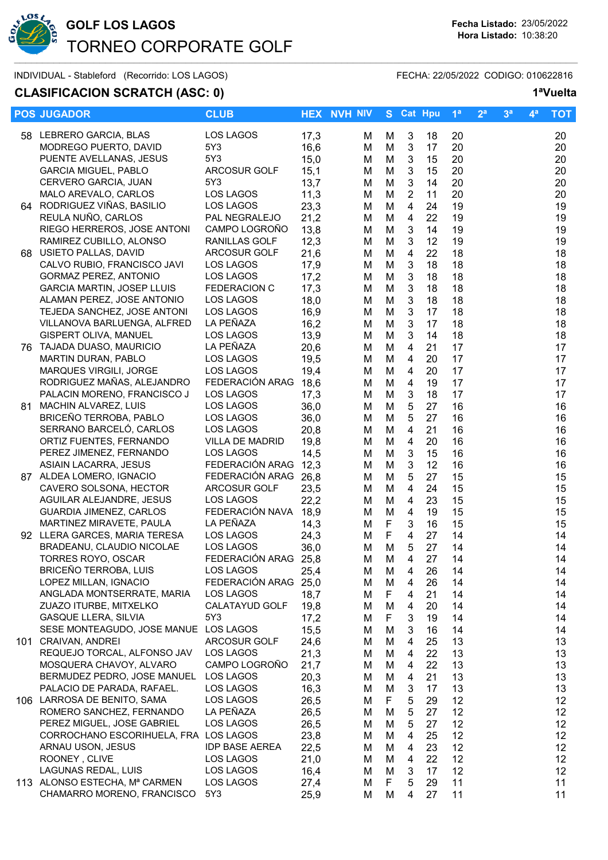

# **GOLF LOS LAGOS Fecha Listado:** 23/05/2022 TORNEO CORPORATE GOLF  $\sim$  . The sequence of the sequence of the sequence of the sequence of the sequence of the sequence of the sequence of the sequence of the sequence of the sequence of the sequence of the sequence of the sequence of the se

INDIVIDUAL - Stableford (Recorrido: LOS LAGOS) FECHA: 22/05/2022 CODIGO: 010622816

## **CLASIFICACION SCRATCH (ASC: 0) 1ªVuelta**

|     | <b>POS JUGADOR</b>                                        | <b>CLUB</b>                       |              | <b>HEX NVH NIV</b> |        | S Cat Hpu                                 |          | 1 <sup>a</sup> | 2 <sup>a</sup> | 3 <sup>a</sup> | $4^a$ | <b>TOT</b>      |
|-----|-----------------------------------------------------------|-----------------------------------|--------------|--------------------|--------|-------------------------------------------|----------|----------------|----------------|----------------|-------|-----------------|
|     | 58 LEBRERO GARCIA, BLAS                                   | LOS LAGOS                         | 17,3         | м                  | М      | 3                                         | 18       | 20             |                |                |       | 20              |
|     | MODREGO PUERTO, DAVID                                     | 5Y3                               | 16,6         | М                  | M      | $\sqrt{3}$                                | 17       | 20             |                |                |       | 20              |
|     | PUENTE AVELLANAS, JESUS                                   | 5Y3                               | 15,0         | м                  | M      | $\sqrt{3}$                                | 15       | 20             |                |                |       | 20              |
|     | <b>GARCIA MIGUEL, PABLO</b>                               | ARCOSUR GOLF                      | 15,1         | м                  | M      | $\ensuremath{\mathsf{3}}$                 | 15       | 20             |                |                |       | 20              |
|     | CERVERO GARCIA, JUAN                                      | 5Y3                               | 13,7         | М                  | M      | $\sqrt{3}$                                | 14       | 20             |                |                |       | 20              |
|     | MALO AREVALO, CARLOS                                      | LOS LAGOS                         | 11,3         | М                  | M      | $\sqrt{2}$                                | 11       | 20             |                |                |       | 20              |
| 64  | RODRIGUEZ VIÑAS, BASILIO                                  | LOS LAGOS                         | 23,3         | M                  | M      | $\overline{\mathbf{4}}$                   | 24       | 19             |                |                |       | 19              |
|     | REULA NUÑO, CARLOS                                        | PAL NEGRALEJO                     | 21,2         | М                  | M      | $\overline{4}$                            | 22       | 19             |                |                |       | 19              |
|     | RIEGO HERREROS, JOSE ANTONI                               | CAMPO LOGROÑO                     | 13,8         | М                  | M      | 3                                         | 14       | 19             |                |                |       | 19              |
|     | RAMIREZ CUBILLO, ALONSO                                   | RANILLAS GOLF                     | 12,3         | М                  | M      | 3                                         | 12       | 19             |                |                |       | 19              |
| 68. | USIETO PALLAS, DAVID                                      | ARCOSUR GOLF                      | 21,6         | М                  | M      | $\overline{\mathbf{4}}$                   | 22       | 18             |                |                |       | 18              |
|     | CALVO RUBIO, FRANCISCO JAVI                               | LOS LAGOS                         | 17,9         | м                  | M      | 3                                         | 18       | 18             |                |                |       | 18              |
|     | <b>GORMAZ PEREZ, ANTONIO</b>                              | LOS LAGOS                         | 17,2         | M                  | M      | 3                                         | 18       | 18             |                |                |       | 18              |
|     | GARCIA MARTIN, JOSEP LLUIS                                | <b>FEDERACION C</b>               | 17,3         | M                  | M      | 3                                         | 18       | 18             |                |                |       | 18              |
|     | ALAMAN PEREZ, JOSE ANTONIO<br>TEJEDA SANCHEZ, JOSE ANTONI | LOS LAGOS                         | 18,0         | M                  | M      | $\mathbf{3}$                              | 18       | 18             |                |                |       | 18              |
|     | VILLANOVA BARLUENGA, ALFRED                               | LOS LAGOS<br>LA PEÑAZA            | 16,9<br>16,2 | M                  | M<br>M | $\mathbf{3}$<br>$\ensuremath{\mathsf{3}}$ | 17<br>17 | 18<br>18       |                |                |       | 18<br>18        |
|     | <b>GISPERT OLIVA, MANUEL</b>                              | LOS LAGOS                         | 13,9         | M<br>М             | M      | $\mathbf{3}$                              | 14       | 18             |                |                |       | 18              |
|     | 76 TAJADA DUASO, MAURICIO                                 | LA PEÑAZA                         | 20,6         | M                  | M      | $\overline{4}$                            | 21       | 17             |                |                |       | 17              |
|     | MARTIN DURAN, PABLO                                       | LOS LAGOS                         | 19,5         | M                  | M      | $\overline{4}$                            | 20       | 17             |                |                |       | 17              |
|     | MARQUES VIRGILI, JORGE                                    | LOS LAGOS                         | 19,4         | м                  | M      | 4                                         | 20       | 17             |                |                |       | 17              |
|     | RODRIGUEZ MAÑAS, ALEJANDRO                                | FEDERACIÓN ARAG 18,6              |              | М                  | M      | 4                                         | 19       | 17             |                |                |       | 17              |
|     | PALACIN MORENO, FRANCISCO J                               | LOS LAGOS                         | 17,3         | М                  | M      | 3                                         | 18       | 17             |                |                |       | 17              |
| 81. | MACHIN ALVAREZ, LUIS                                      | LOS LAGOS                         | 36,0         | М                  | M      | 5                                         | 27       | 16             |                |                |       | 16              |
|     | BRICEÑO TERROBA, PABLO                                    | LOS LAGOS                         | 36,0         | M                  | M      | 5                                         | 27       | 16             |                |                |       | 16              |
|     | SERRANO BARCELÓ, CARLOS                                   | LOS LAGOS                         | 20,8         | M                  | M      | 4                                         | 21       | 16             |                |                |       | 16              |
|     | ORTIZ FUENTES, FERNANDO                                   | VILLA DE MADRID                   | 19,8         | м                  | M      | 4                                         | 20       | 16             |                |                |       | 16              |
|     | PEREZ JIMENEZ, FERNANDO                                   | LOS LAGOS                         | 14,5         | M                  | M      | $\mathbf{3}$                              | 15       | 16             |                |                |       | 16              |
|     | ASIAIN LACARRA, JESUS                                     | FEDERACIÓN ARAG 12,3              |              | М                  | M      | $\sqrt{3}$                                | 12       | 16             |                |                |       | 16              |
|     | 87 ALDEA LOMERO, IGNACIO                                  | FEDERACIÓN ARAG 26,8              |              | М                  | M      | $\sqrt{5}$                                | 27       | 15             |                |                |       | 15              |
|     | CAVERO SOLSONA, HECTOR                                    | ARCOSUR GOLF                      | 23,5         | М                  | M      | $\overline{4}$                            | 24       | 15             |                |                |       | 15              |
|     | AGUILAR ALEJANDRE, JESUS                                  | <b>LOS LAGOS</b>                  | 22,2         | М                  | M      | $\overline{4}$                            | 23       | 15             |                |                |       | 15              |
|     | <b>GUARDIA JIMENEZ, CARLOS</b>                            | FEDERACIÓN NAVA 18,9              |              | М                  | M      | 4                                         | 19       | 15             |                |                |       | 15              |
|     | MARTINEZ MIRAVETE, PAULA                                  | LA PEÑAZA                         | 14,3         | M                  | F      | $\mathbf{3}$                              | 16       | 15             |                |                |       | 15              |
|     | 92 LLERA GARCES, MARIA TERESA                             | LOS LAGOS                         | 24,3         | М                  | F      | $\overline{4}$                            | 27       | 14             |                |                |       | 14              |
|     | BRADEANU, CLAUDIO NICOLAE                                 | <b>LOS LAGOS</b>                  | 36,0         | M                  | M      | 5                                         | 27       | 14             |                |                |       | 14              |
|     | <b>TORRES ROYO, OSCAR</b>                                 | FEDERACIÓN ARAG 25,8              |              | М                  | М      | 4                                         | 27       | 14             |                |                |       | 14              |
|     | <b>BRICEÑO TERROBA, LUIS</b><br>LOPEZ MILLAN, IGNACIO     | LOS LAGOS<br>FEDERACIÓN ARAG 25,0 | 25,4         | M                  | M      | 4                                         | 26       | 14             |                |                |       | 14              |
|     | ANGLADA MONTSERRATE, MARIA                                | LOS LAGOS                         | 18,7         | м                  | M<br>F | 4<br>4                                    | 26<br>21 | 14<br>14       |                |                |       | 14<br>14        |
|     | ZUAZO ITURBE, MITXELKO                                    | CALATAYUD GOLF                    | 19,8         | м<br>м             | M      | 4                                         | 20       | 14             |                |                |       | 14              |
|     | <b>GASQUE LLERA, SILVIA</b>                               | 5Y3                               | 17,2         | м                  | F      | 3                                         | 19       | 14             |                |                |       | 14              |
|     | SESE MONTEAGUDO, JOSE MANUE LOS LAGOS                     |                                   | 15,5         | м                  | M      | 3                                         | 16       | 14             |                |                |       | 14              |
|     | 101 CRAIVAN, ANDREI                                       | <b>ARCOSUR GOLF</b>               | 24,6         | м                  | M      | 4                                         | 25       | 13             |                |                |       | 13              |
|     | REQUEJO TORCAL, ALFONSO JAV                               | LOS LAGOS                         | 21,3         | м                  | M      | 4                                         | 22       | 13             |                |                |       | 13              |
|     | MOSQUERA CHAVOY, ALVARO                                   | CAMPO LOGROÑO                     | 21,7         | M                  | M      | 4                                         | 22       | 13             |                |                |       | 13              |
|     | BERMUDEZ PEDRO, JOSE MANUEL                               | LOS LAGOS                         | 20,3         | м                  | M      | 4                                         | 21       | 13             |                |                |       | 13              |
|     | PALACIO DE PARADA, RAFAEL.                                | LOS LAGOS                         | 16,3         | м                  | M      | 3                                         | 17       | 13             |                |                |       | 13              |
| 106 | LARROSA DE BENITO, SAMA                                   | LOS LAGOS                         | 26,5         | м                  | F      | 5                                         | 29       | 12             |                |                |       | 12              |
|     | ROMERO SANCHEZ, FERNANDO                                  | LA PEÑAZA                         | 26,5         | м                  | M      | 5                                         | 27       | 12             |                |                |       | 12              |
|     | PEREZ MIGUEL, JOSE GABRIEL                                | LOS LAGOS                         | 26,5         | м                  | M      | 5                                         | 27       | 12             |                |                |       | 12 <sub>2</sub> |
|     | CORROCHANO ESCORIHUELA, FRA LOS LAGOS                     |                                   | 23,8         | м                  | M      | 4                                         | 25       | 12             |                |                |       | 12              |
|     | ARNAU USON, JESUS                                         | <b>IDP BASE AEREA</b>             | 22,5         | м                  | M      | 4                                         | 23       | 12             |                |                |       | 12              |
|     | ROONEY, CLIVE                                             | LOS LAGOS                         | 21,0         | м                  | M      | 4                                         | 22       | 12             |                |                |       | 12              |
|     | LAGUNAS REDAL, LUIS                                       | LOS LAGOS                         | 16,4         | M                  | M      | 3                                         | 17       | 12             |                |                |       | 12              |
|     | 113 ALONSO ESTECHA, Mª CARMEN                             | LOS LAGOS                         | 27,4         | м                  | F      | 5                                         | 29       | 11             |                |                |       | 11              |
|     | CHAMARRO MORENO, FRANCISCO                                | 5Y3                               | 25,9         | M                  | M      | 4                                         | 27       | 11             |                |                |       | 11              |